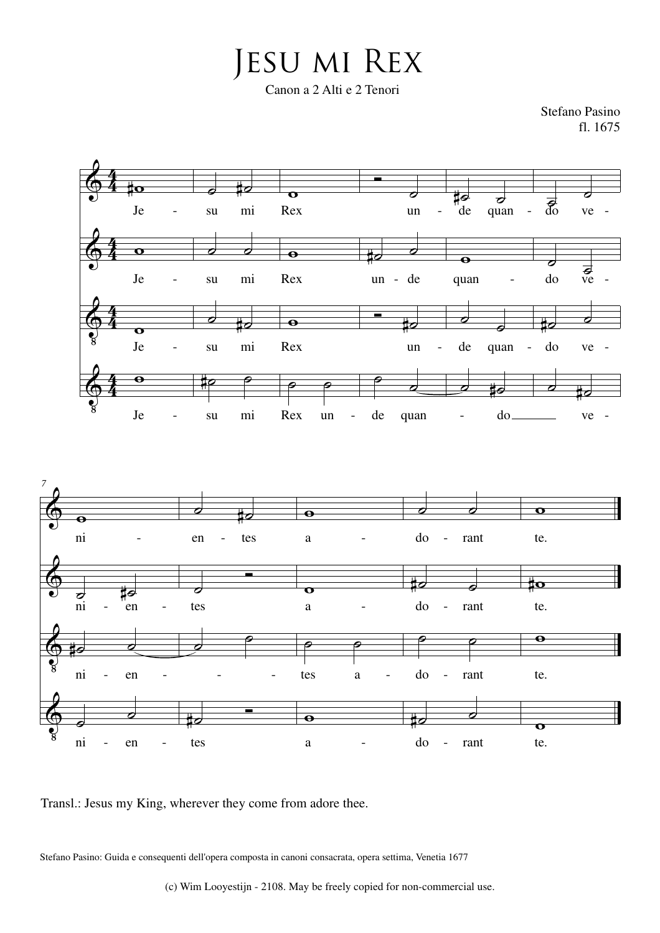Jesu mi Rex Canon a 2 Alti e 2 Tenori

Stefano Pasino fl. 1675





Stefano Pasino: Guida e consequenti dell'opera composta in canoni consacrata, opera settima, Venetia 1677